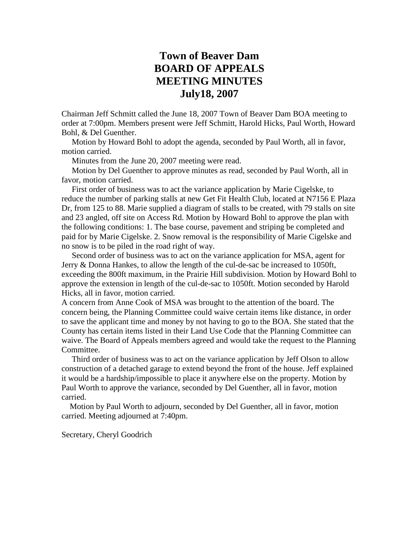## **Town of Beaver Dam BOARD OF APPEALS MEETING MINUTES July18, 2007**

Chairman Jeff Schmitt called the June 18, 2007 Town of Beaver Dam BOA meeting to order at 7:00pm. Members present were Jeff Schmitt, Harold Hicks, Paul Worth, Howard Bohl, & Del Guenther.

 Motion by Howard Bohl to adopt the agenda, seconded by Paul Worth, all in favor, motion carried.

Minutes from the June 20, 2007 meeting were read.

 Motion by Del Guenther to approve minutes as read, seconded by Paul Worth, all in favor, motion carried.

 First order of business was to act the variance application by Marie Cigelske, to reduce the number of parking stalls at new Get Fit Health Club, located at N7156 E Plaza Dr, from 125 to 88. Marie supplied a diagram of stalls to be created, with 79 stalls on site and 23 angled, off site on Access Rd. Motion by Howard Bohl to approve the plan with the following conditions: 1. The base course, pavement and striping be completed and paid for by Marie Cigelske. 2. Snow removal is the responsibility of Marie Cigelske and no snow is to be piled in the road right of way.

 Second order of business was to act on the variance application for MSA, agent for Jerry & Donna Hankes, to allow the length of the cul-de-sac be increased to 1050ft, exceeding the 800ft maximum, in the Prairie Hill subdivision. Motion by Howard Bohl to approve the extension in length of the cul-de-sac to 1050ft. Motion seconded by Harold Hicks, all in favor, motion carried.

A concern from Anne Cook of MSA was brought to the attention of the board. The concern being, the Planning Committee could waive certain items like distance, in order to save the applicant time and money by not having to go to the BOA. She stated that the County has certain items listed in their Land Use Code that the Planning Committee can waive. The Board of Appeals members agreed and would take the request to the Planning Committee.

 Third order of business was to act on the variance application by Jeff Olson to allow construction of a detached garage to extend beyond the front of the house. Jeff explained it would be a hardship/impossible to place it anywhere else on the property. Motion by Paul Worth to approve the variance, seconded by Del Guenther, all in favor, motion carried.

 Motion by Paul Worth to adjourn, seconded by Del Guenther, all in favor, motion carried. Meeting adjourned at 7:40pm.

Secretary, Cheryl Goodrich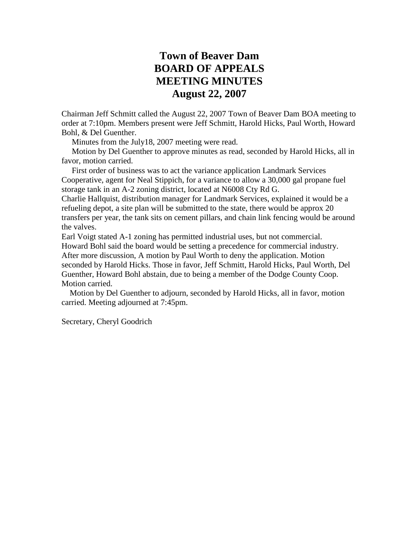## **Town of Beaver Dam BOARD OF APPEALS MEETING MINUTES August 22, 2007**

Chairman Jeff Schmitt called the August 22, 2007 Town of Beaver Dam BOA meeting to order at 7:10pm. Members present were Jeff Schmitt, Harold Hicks, Paul Worth, Howard Bohl, & Del Guenther.

Minutes from the July18, 2007 meeting were read.

 Motion by Del Guenther to approve minutes as read, seconded by Harold Hicks, all in favor, motion carried.

 First order of business was to act the variance application Landmark Services Cooperative, agent for Neal Stippich, for a variance to allow a 30,000 gal propane fuel storage tank in an A-2 zoning district, located at N6008 Cty Rd G.

Charlie Hallquist, distribution manager for Landmark Services, explained it would be a refueling depot, a site plan will be submitted to the state, there would be approx 20 transfers per year, the tank sits on cement pillars, and chain link fencing would be around the valves.

Earl Voigt stated A-1 zoning has permitted industrial uses, but not commercial. Howard Bohl said the board would be setting a precedence for commercial industry. After more discussion, A motion by Paul Worth to deny the application. Motion seconded by Harold Hicks. Those in favor, Jeff Schmitt, Harold Hicks, Paul Worth, Del Guenther, Howard Bohl abstain, due to being a member of the Dodge County Coop. Motion carried.

 Motion by Del Guenther to adjourn, seconded by Harold Hicks, all in favor, motion carried. Meeting adjourned at 7:45pm.

Secretary, Cheryl Goodrich